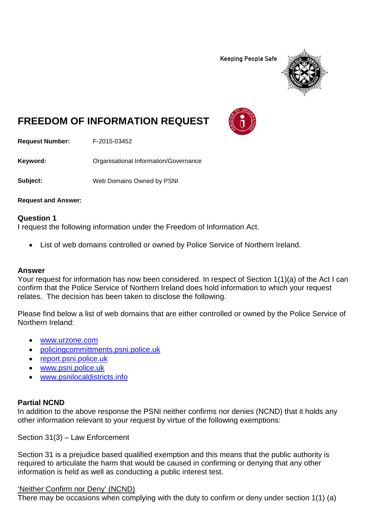**Keeping People Safe** 



# **FREEDOM OF INFORMATION REQUEST**

**Request Number:** F-2015-03452

**Keyword:** Organisational Information/Governance

**Subject:** Web Domains Owned by PSNI

**Request and Answer:**

#### **Question 1**

I request the following information under the Freedom of Information Act.

• List of web domains controlled or owned by Police Service of Northern Ireland.

#### **Answer**

Your request for information has now been considered. In respect of Section 1(1)(a) of the Act I can confirm that the Police Service of Northern Ireland does hold information to which your request relates. The decision has been taken to disclose the following.

Please find below a list of web domains that are either controlled or owned by the Police Service of Northern Ireland:

- [www.urzone.com](http://www.urzone.com/)
- [policingcommittments.psni.police.uk](http://www.policingcommittments.psni.police.uk/)
- [report.psni.police.uk](https://report.psni.police.uk/)
- [www.psni.police.uk](http://www.psni.police.uk/)
- [www.psnilocaldistricts.info](http://www.psnilocaldistricts.info/)

#### **Partial NCND**

In addition to the above response the PSNI neither confirms nor denies (NCND) that it holds any other information relevant to your request by virtue of the following exemptions:

Section 31(3) – Law Enforcement

Section 31 is a prejudice based qualified exemption and this means that the public authority is required to articulate the harm that would be caused in confirming or denying that any other information is held as well as conducting a public interest test.

#### 'Neither Confirm nor Deny' (NCND)

There may be occasions when complying with the duty to confirm or deny under section 1(1) (a)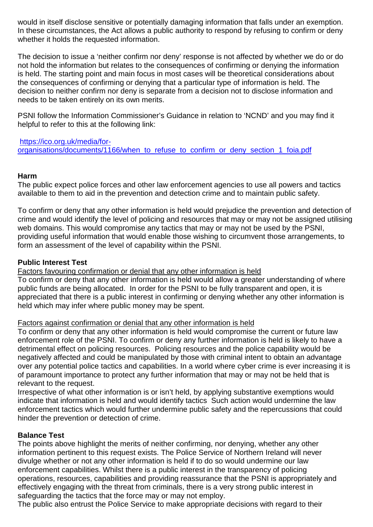would in itself disclose sensitive or potentially damaging information that falls under an exemption. In these circumstances, the Act allows a public authority to respond by refusing to confirm or deny whether it holds the requested information.

The decision to issue a 'neither confirm nor deny' response is not affected by whether we do or do not hold the information but relates to the consequences of confirming or denying the information is held. The starting point and main focus in most cases will be theoretical considerations about the consequences of confirming or denying that a particular type of information is held. The decision to neither confirm nor deny is separate from a decision not to disclose information and needs to be taken entirely on its own merits.

PSNI follow the Information Commissioner's Guidance in relation to 'NCND' and you may find it helpful to refer to this at the following link:

[https://ico.org.uk/media/for](https://ico.org.uk/media/for-organisations/documents/1166/when_to_refuse_to_confirm_or_deny_section_1_foia.pdf)organisations/documents/1166/when to refuse to confirm or deny section 1 foia.pdf

### **Harm**

The public expect police forces and other law enforcement agencies to use all powers and tactics available to them to aid in the prevention and detection crime and to maintain public safety.

To confirm or deny that any other information is held would prejudice the prevention and detection of crime and would identify the level of policing and resources that may or may not be assigned utilising web domains. This would compromise any tactics that may or may not be used by the PSNI, providing useful information that would enable those wishing to circumvent those arrangements, to form an assessment of the level of capability within the PSNI.

#### **Public Interest Test**

Factors favouring confirmation or denial that any other information is held

To confirm or deny that any other information is held would allow a greater understanding of where public funds are being allocated. In order for the PSNI to be fully transparent and open, it is appreciated that there is a public interest in confirming or denying whether any other information is held which may infer where public money may be spent.

#### Factors against confirmation or denial that any other information is held

To confirm or deny that any other information is held would compromise the current or future law enforcement role of the PSNI. To confirm or deny any further information is held is likely to have a detrimental effect on policing resources. Policing resources and the police capability would be negatively affected and could be manipulated by those with criminal intent to obtain an advantage over any potential police tactics and capabilities. In a world where cyber crime is ever increasing it is of paramount importance to protect any further information that may or may not be held that is relevant to the request.

Irrespective of what other information is or isn't held, by applying substantive exemptions would indicate that information is held and would identify tactics Such action would undermine the law enforcement tactics which would further undermine public safety and the repercussions that could hinder the prevention or detection of crime.

## **Balance Test**

The points above highlight the merits of neither confirming, nor denying, whether any other information pertinent to this request exists. The Police Service of Northern Ireland will never divulge whether or not any other information is held if to do so would undermine our law enforcement capabilities. Whilst there is a public interest in the transparency of policing operations, resources, capabilities and providing reassurance that the PSNI is appropriately and effectively engaging with the threat from criminals, there is a very strong public interest in safeguarding the tactics that the force may or may not employ.

The public also entrust the Police Service to make appropriate decisions with regard to their